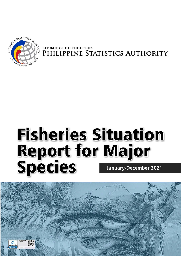

REPUBLIC OF THE PHILIPPINES PHILIPPINE STATISTICS AUTHORITY

# **Fisheries Situation Report for Major<br>Species Inducempler 2 January-December 2021**

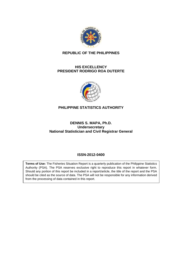

#### **REPUBLIC OF THE PHILIPPINES**

### **HIS EXCELLENCY PRESIDENT RODRIGO ROA DUTERTE**



## **PHILIPPINE STATISTICS AUTHORITY**

#### **DENNIS S. MAPA, Ph.D. Undersecretary National Statistician and Civil Registrar General**

#### **ISSN-2012-0400**

**Terms of Use:** The Fisheries Situation Report is a quarterly publication of the Philippine Statistics Authority (PSA). The PSA reserves exclusive right to reproduce this report in whatever form. Should any portion of this report be included in a report/article, the title of the report and the PSA should be cited as the source of data. The PSA will not be responsible for any information derived from the processing of data contained in this report.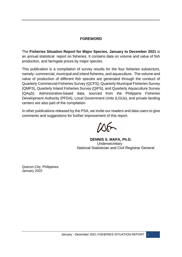#### **FOREWORD**

<span id="page-2-0"></span>The **Fisheries Situation Report for Major Species, January to December 2021** is an annual statistical report on fisheries. It contains data on volume and value of fish production, and farmgate prices by major species.

This publication is a compilation of survey results for the four fisheries subsectors, namely: commercial, municipal and inland fisheries, and aquaculture. The volume and value of production of different fish species are generated through the conduct of Quarterly Commercial Fisheries Survey (QCFS), Quarterly Municipal Fisheries Survey (QMFS), Quarterly Inland Fisheries Survey (QIFS), and Quarterly Aquaculture Survey (QAqS). Administrative-based data, sourced from the Philippine Fisheries Development Authority (PFDA), Local Government Units (LGUs), and private landing centers are also part of the compilation.

In other publications released by the PSA, we invite our readers and data users to give comments and suggestions for further improvement of this report.

 $705$ 

 **DENNIS S. MAPA, Ph.D. Undersecretary** National Statistician and Civil Registrar General

Quezon City, Philippines January 2022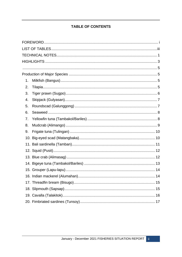# **TABLE OF CONTENTS**

| 1. |        |
|----|--------|
| 2. |        |
| 3. |        |
| 4. |        |
| 5. |        |
| 6. |        |
| 7. |        |
| 8. |        |
| 9. |        |
|    |        |
|    |        |
|    |        |
|    |        |
|    |        |
|    |        |
|    | ……. 14 |
|    |        |
|    |        |
|    |        |
|    |        |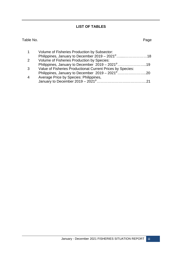## **LIST OF TABLES**

<span id="page-4-0"></span>Table No. 2008 and 2009 and 2009 and 2009 and 2009 and 2009 and 2009 and 2009 and 2009 and 2009 and 2009 and 20

| $\mathbf 1$    | Volume of Fisheries Production by Subsector:                 |  |
|----------------|--------------------------------------------------------------|--|
|                |                                                              |  |
| 2 <sup>1</sup> | Volume of Fisheries Production by Species:                   |  |
|                | Philippines, January to December 2019 – 2021 <sup>P</sup> 19 |  |
| 3 <sup>1</sup> | Value of Fisheries Productionat Current Prices by Species:   |  |
|                |                                                              |  |
| $\overline{4}$ | Average Price by Species: Philippines,                       |  |
|                |                                                              |  |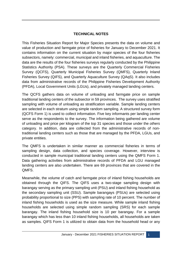## **TECHNICAL NOTES**

<span id="page-5-0"></span>This Fisheries Situation Report for Major Species presents the data on volume and value of production and farmgate price of fisheries for January to December 2021. It contains information on the current situation by major species of the four fisheries subsectors, namely: commercial, municipal and inland fisheries, and aquaculture. The data are the results of the four fisheries surveys regularly conducted by the Philippine Statistics Authority (PSA). These surveys are the Quarterly Commercial Fisheries Survey (QCFS), Quarterly Municipal Fisheries Survey (QMFS), Quarterly Inland Fisheries Survey (QIFS), and Quarterly Aquaculture Survey (QAqS). It also includes data from administrative records of the Philippine Fisheries Development Authority (PFDA), Local Government Units (LGUs), and privately managed landing centers.

The QCFS gathers data on volume of unloading and farmgate price on sample traditional landing centers of the subsector in 59 provinces. The survey uses stratified sampling with volume of unloading as stratification variable. Sample landing centers are selected in each stratum using simple random sampling. A structured survey form (QCFS Form 1) is used to collect information. Five key informants per landing center serve as the respondents to the survey. The information being gathered are volume of unloading and price per kilogram of the top 31 species and those under the *others* category. In addition, data are collected from the administrative records of nontraditional landing centers such as those that are managed by the PFDA, LGUs, and private entities.

The QMFS is undertaken in similar manner as commercial fisheries in terms of sampling design, data collection, and species coverage. However, interview is conducted in sample municipal traditional landing centers using the QMFS Form 1. Data gathering activities from administrative records of PFDA and LGU managed landing centers are also undertaken. There are 69 provinces that are covered in the QMFS.

Meanwhile, the volume of catch and farmgate price of inland fishing households are obtained through the QIFS. The QIFS uses a two-stage sampling design with barangay serving as the primary sampling unit (PSU) and inland fishing household as the secondary sampling unit (SSU). Sample barangays (PSUs) are selected using probability proportional to size (PPS) with sampling rate of 10 percent. The number of inland fishing households is used as the size measure. While sample inland fishing households are selected using simple random sampling (SRS) for each sample barangay. The inland fishing household size is 10 per barangay. For a sample barangay which has less than 10 inland fishing households, all households are taken as samples. QIFS Form 1 is utilized to obtain data from the household head or any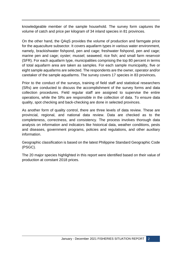knowledgeable member of the sample household. The survey form captures the volume of catch and price per kilogram of 34 inland species in 81 provinces.

On the other hand, the QAqS provides the volume of production and farmgate price for the aquaculture subsector. It covers aquafarm types in various water environment, namely, brackishwater fishpond, pen and cage; freshwater fishpond, pen and cage; marine pen and cage; oyster; mussel; seaweed; rice fish; and small farm reservoir (SFR). For each aquafarm type, municipalities comprising the top 80 percent in terms of total aquafarm area are taken as samples. For each sample municipality, five or eight sample aquafarms are selected. The respondents are the owner, operator and/or caretaker of the sample aquafarms. The survey covers 17 species in 83 provinces**.** 

Prior to the conduct of the surveys, training of field staff and statistical researchers (SRs) are conducted to discuss the accomplishment of the survey forms and data collection procedures. Field regular staff are assigned to supervise the entire operations, while the SRs are responsible in the collection of data. To ensure data quality, spot checking and back-checking are done in selected provinces.

As another form of quality control, there are three levels of data review. These are provincial, regional, and national data review. Data are checked as to the completeness, correctness, and consistency. The process involves thorough data analysis on information and indicators like historical data, weather conditions, pests and diseases, government programs, policies and regulations, and other auxiliary information.

Geographic classification is based on the latest Philippine Standard Geographic Code (PSGC).

The 20 major species highlighted in this report were identified based on their value of production at constant 2018 prices.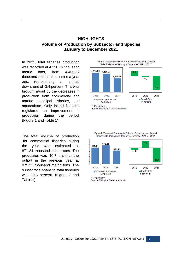## <span id="page-7-0"></span>**HIGHLIGHTS Volume of Production by Subsector and Species January to December 2021**

In 2021, total fisheries production was recorded at 4,250.79 thousand metric tons, from 4,400.37 thousand metric tons output a year ago, representing an annual downtrend of -3.4 percent. This was brought about by the decreases in production from commercial and marine municipal fisheries, and aquaculture. Only inland fisheries registered an improvement in production during the period. (Figure 1 and Table 1)

The total volume of production for commercial fisheries during the year was estimated at 871.24 thousand metric tons. The production was -10.7 less than the output in the previous year at 975.21 thousand metric tons. The subsector's share to total fisheries was 20.5 percent. (Figure 2 and Table 1)



Figure 2. Volume of Commercial Fisheries Production and Annual Growth Rate, Philippines: January to December 2019 to 2021<sup>P</sup>



Source: Philippine Statistics Authority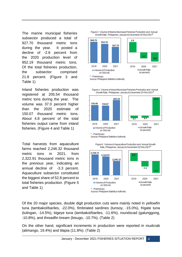The marine municipal fisheries subsector produced a total of 927.70 thousand metric tons during the year. It posted a decline of -2.6 percent from the 2020 production level of 952.19 thousand metric tons. Of the total fisheries production, the subsector comprised 21.8 percent. (Figure 3 and Table 1)

Inland fisheries production was registered at 205.54 thousand metric tons during the year. The volume was 37.0 percent higher than the 2020 estimate of 150.07 thousand metric tons. About 4.8 percent of the total fisheries output came from inland fisheries. (Figure 4 and Table 1)

Total harvests from aquaculture farms reached 2,246.32 thousand metric tons in 2021, from 2,322.91 thousand metric tons in the previous year, indicating an annual decline of -3.3 percent. Aquaculture subsector constituted the biggest share of 52.8 percent to total fisheries production. (Figure 5 and Table 1)

Figure 3. Volume of Marine Municipal Fisheries Production and Annual Growth Rate, Philippines: January to December 2019 to 2021<sup>P</sup>



P - Preliminary

Source: Philippine Statistics Authority



Figure 4. Volume of Inland Municipal Fisheries Production and Annual Growth Rate, Philippines: January to December 2019 to 2021<sup>P</sup>

Source: Philippine Statistics Authority



Figure 5, Volume of Aguaculture Production and Annual Growth Rate, Philippines: January to December 2019 to 2021<sup>P</sup>

Of the 20 major species, double digit production cuts were mainly noted in yellowfin tuna (tambakol/bariles, -22.0%), fimbriated sardines (tunsoy, -15.0%), frigate tuna (tulingan, -14.5%), bigeye tuna (tambakol/bariles, -11.6%), roundscad (galunggong, -10.8%), and threadfin bream (bisugo, -10.7%). (Table 2)

On the other hand, significant increments in production were reported in mudcrab (alimango, 19.4%) and tilapia (11.8%). (Table 2)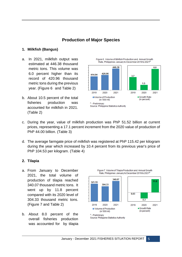# <span id="page-9-1"></span>**Production of Major Species**

#### <span id="page-9-2"></span><span id="page-9-0"></span>**1. Milkfish (Bangus)**

- a. In 2021, milkfish output was estimated at 446.38 thousand metric tons. This volume was 6.0 percent higher than its record of 420.96 thousand metric tons during the previous year. (Figure 6 and Table 2)
- b. About 10.5 percent of the total fisheries production was accounted for milkfish in 2021. (Table 2)



- c. During the year, value of milkfish production was PhP 51.52 billion at current prices, representing a 17.1 percent increment from the 2020 value of production of PhP 44.00 billion. (Table 3)
- d. The average farmgate price of milkfish was registered at PhP 115.42 per kilogram during the year which increased by 10.4 percent from its previous year's price of PhP 104.53 per kilogram. (Table 4)

#### <span id="page-9-3"></span>**2. Tilapia**

- a. From January to December 2021, the total volume of production of tilapia reached 340.07 thousand metric tons. It went up by 11.8 percent compared with its 2020 level of 304.33 thousand metric tons. (Figure 7 and Table 2)
- b. About 8.0 percent of the overall fisheries production was accounted for by tilapia



Source: Philippine Statistics Authority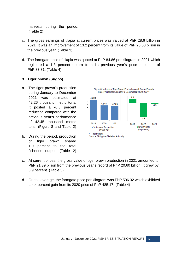harvests during the period. (Table 2)

- c. The gross earnings of tilapia at current prices was valued at PhP 28.6 billion in 2021. It was an improvement of 13.2 percent from its value of PhP 25.50 billion in the previous year. (Table 3)
- d. The farmgate price of tilapia was quoted at PhP 84.86 per kilogram in 2021 which registered a 1.3 percent upturn from its previous year's price quotation of PhP 83.81. (Table 4)

#### <span id="page-10-0"></span>**3. Tiger prawn (Sugpo)**

- a. The tiger prawn's production during January to December 2021 was estimated at 42.26 thousand metric tons. It posted a -0.5 percent reduction compared with the previous year's performance of 42.45 thousand metric tons. (Figure 8 and Table 2)
- b. During the period, production of tiger prawn shared 1.0 percent to the total fisheries output. (Table 2)



- c. At current prices, the gross value of tiger prawn production in 2021 amounted to PhP 21.39 billion from the previous year's record of PhP 20.60 billion. It grew by 3.9 percent. (Table 3)
- d. On the average, the farmgate price per kilogram was PhP 506.32 which exhibited a 4.4 percent gain from its 2020 price of PhP 485.17. (Table 4)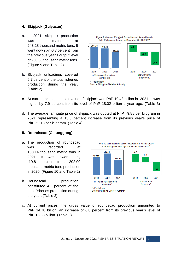#### <span id="page-11-0"></span>**4. Skipjack (Gulyasan)**

- a. In 2021, skipjack production was estimated at 243.28 thousand metric tons. It went down by -6.7 percent from the previous year's output level of 260.60 thousand metric tons. (Figure 9 and Table 2)
- b. Skipjack unloadings covered 5.7 percent of the total fisheries production during the year. (Table 2)



- c. At current prices, the total value of skipjack was PhP 19.43 billion in 2021. It was higher by 7.9 percent from its level of PhP 18.02 billion a year ago. (Table 3)
- d. The average farmgate price of skipjack was quoted at PhP 79.88 per kilogram in 2021 representing a 15.6 percent increase from its previous year's price of PhP 69.13 per kilogram. (Table 4)

#### <span id="page-11-1"></span>**5. Roundscad (Galunggong)**

- a. The production of roundscad was recorded at 180.14 thousand metric tons in 2021. It was lower by -10.8 percent from 202.00 thousand metric tons production in 2020. (Figure 10 and Table 2)
- b. Roundscad production constituted 4.2 percent of the total fisheries production during the year. (Table 2)



c. At current prices, the gross value of roundscad production amounted to PhP 14.78 billion, an increase of 6.8 percent from its previous year's level of PhP 13.83 billion. (Table 3)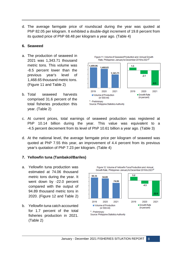d. The average farmgate price of roundscad during the year was quoted at PhP 82.05 per kilogram. It exhibited a double-digit increment of 19.8 percent from its quoted price of PhP 68.48 per kilogram a year ago. (Table 4)

#### <span id="page-12-0"></span>**6. Seaweed**

- a. The production of seaweed in 2021 was 1,343.71 thousand metric tons. This volume was -8.5 percent lower than the previous year's level of 1,468.65 thousand metric tons. (Figure 11 and Table 2)
- b. Total seaweed harvests comprised 31.6 percent of the total fisheries production this year. (Table 2)



Figure 11. Volume of Seaweed Production and Annual Growth

- c. At current prices, total earnings of seaweed production was registered at PhP 10.14 billion during the year. This value was equivalent to a -4.5 percent decrement from its level of PhP 10.61 billion a year ago. (Table 3)
- d. At the national level, the average farmgate price per kilogram of seaweed was quoted at PhP 7.55 this year, an improvement of 4.4 percent from its previous year's quotation of PhP 7.23 per kilogram. (Table 4)

### <span id="page-12-1"></span>**7. Yellowfin tuna (Tambakol/Bariles)**

- a. Yellowfin tuna production was estimated at 74.06 thousand metric tons during the year. It went down by -22.0 percent compared with the output of 94.89 thousand metric tons in 2020. (Figure 12 and Table 2)
- b. Yellowfin tuna catch accounted for 1.7 percent of the total fisheries production in 2021. (Table 2)

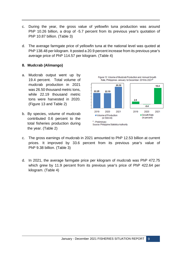- c. During the year, the gross value of yellowfin tuna production was around PhP 10.26 billion, a drop of -5.7 percent from its previous year's quotation of PhP 10.87 billion. (Table 3)
- d. The average farmgate price of yellowfin tuna at the national level was quoted at PhP 138.48 per kilogram. It posted a 20.9 percent increase from its previous year's average price of PhP 114.57 per kilogram. (Table 4)

#### <span id="page-13-0"></span>**8. Mudcrab (Alimango)**

- a. Mudcrab output went up by 19.4 percent. Total volume of mudcrab production in 2021 was 26.50 thousand metric tons, while 22.19 thousand metric tons were harvested in 2020. (Figure 13 and Table 2)
- b. By species, volume of mudcrab contributed 0.6 percent to the total fisheries production during the year. (Table 2)



- c. The gross earnings of mudcrab in 2021 amounted to PhP 12.53 billion at current prices. It improved by 33.6 percent from its previous year's value of PhP 9.38 billion. (Table 3)
- d. In 2021, the average farmgate price per kilogram of mudcrab was PhP 472.75 which grew by 11.9 percent from its previous year's price of PhP 422.64 per kilogram. (Table 4)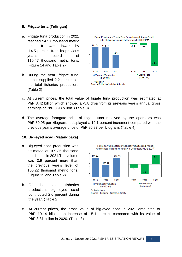#### <span id="page-14-0"></span>**9. Frigate tuna (Tulingan)**

- a. Frigate tuna production in 2021 reached 94.51 thousand metric tons. It was lower by -14.5 percent from its previous year's record of 110.47 thousand metric tons. (Figure 14 and Table 2)
- b. During the year, frigate tuna output supplied 2.2 percent of the total fisheries production. (Table 2)



- c. At current prices, the total value of frigate tuna production was estimated at PhP 8.42 billion which showed a -5.8 drop from its previous year's annual gross earnings of PhP 8.93 billion. (Table 3)
- d. The average farmgate price of frigate tuna received by the operators was PhP 89.05 per kilogram. It displayed a 10.1 percent increment compared with the previous year's average price of PhP 80.87 per kilogram. (Table 4)

#### <span id="page-14-1"></span>**10. Big-eyed scad (Matangbaka)**

- a. Big-eyed scad production was estimated at 109.35 thousand metric tons in 2021.The volume was 3.9 percent more than the previous year's level of 105.22 thousand metric tons. (Figure 15 and Table 2)
- b. Of the total fisheries production, big eyed scad contributed 2.6 percent during the year. (Table 2)



c. At current prices, the gross value of big-eyed scad in 2021 amounted to PhP 10.14 billion, an increase of 15.1 percent compared with its value of PhP 8.81 billion in 2020. (Table 3)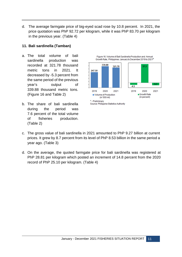d. The average farmgate price of big-eyed scad rose by 10.8 percent. In 2021, the price quotation was PhP 92.72 per kilogram, while it was PhP 83.70 per kilogram in the previous year. (Table 4)

#### <span id="page-15-0"></span>**11. Bali sardinella (Tamban)**

- a. The total volume of bali sardinella production was recorded at 321.78 thousand metric tons in 2021. It decreased by -5.3 percent from the same period of the previous year's output of 339.88 thousand metric tons. (Figure 16 and Table 2)
- b. The share of bali sardinella during the period was 7.6 percent of the total volume of fisheries production. (Table 2)



- c. The gross value of bali sardinella in 2021 amounted to PhP 9.27 billion at current prices. It grew by 8.7 percent from its level of PhP 8.53 billion in the same period a year ago. (Table 3)
- d. On the average, the quoted farmgate price for bali sardinella was registered at PhP 28.81 per kilogram which posted an increment of 14.8 percent from the 2020 record of PhP 25.10 per kilogram. (Table 4)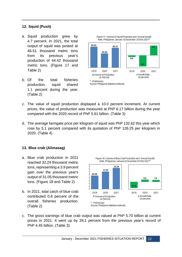#### <span id="page-16-0"></span>**12. Squid (Pusit)**

- a. Squid production grew by 4.7 percent. In 2021, the total output of squid was posted at 46.51 thousand metric tons from its previous year's production of 44.42 thousand metric tons. (Figure 17 and Table 2)
- b. Of the total fisheries production, squid shared 1.1 percent during the year. (Table 2)



- c. The value of squid production displayed a 10.0 percent increment. At current prices, the value of production was measured at PhP 6.17 billion during the year compared with the 2020 record of PhP 5.61 billion. (Table 3)
- d. The average farmgate price per kilogram of squid was PhP 132.62 this year which rose by 5.1 percent compared with its quotation of PhP 126.25 per kilogram in 2020. (Table 4)

#### <span id="page-16-1"></span>**13. Blue crab (Alimasag)**

- a. Blue crab production in 2021 reached 32.24 thousand metric tons, representing a 3.9 percent gain over the previous year's output of 31.05 thousand metric tons. (Figure 18 and Table 2)
- b. In 2021, total catch of blue crab contributed 0.8 percent of the overall fisheries production. (Table 2)



c. The gross earnings of blue crab output was valued at PhP 5.70 billion at current prices in 2021. It went up by 28.1 percent from the previous year's record of PhP 4.45 billion. (Table 3)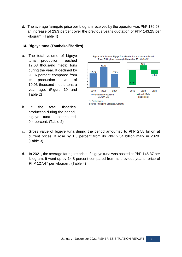d. The average farmgate price per kilogram received by the operator was PhP 176.68, an increase of 23.3 percent over the previous year's quotation of PhP 143.25 per kilogram. (Table 4)

#### <span id="page-17-0"></span>**14. Bigeye tuna (Tambakol/Bariles)**

- a. The total volume of bigeye tuna production reached 17.63 thousand metric tons during the year. It declined by -11.6 percent compared from its production level of 19.93 thousand metric tons a year ago. (Figure 19 and Table 2)
- b. Of the total fisheries production during the period, bigeye tuna contributed 0.4 percent. (Table 2)



- c. Gross value of bigeye tuna during the period amounted to PhP 2.58 billion at current prices. It rose by 1.5 percent from its PhP 2.54 billion mark in 2020. (Table 3)
- d. In 2021, the average farmgate price of bigeye tuna was posted at PhP 146.37 per kilogram. It went up by 14.8 percent compared from its previous year's price of PhP 127.47 per kilogram. (Table 4)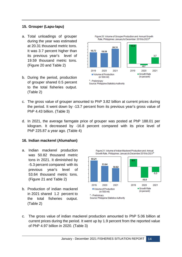#### <span id="page-18-0"></span>**15. Grouper (Lapu-lapu)**

- a. Total unloadings of grouper during the year was estimated at 20.31 thousand metric tons. It was 3.7 percent higher than its previous year's level of 19.59 thousand metric tons. (Figure 20 and Table 2)
- b. During the period, production of grouper shared 0.5 percent to the total fisheries output. (Table 2)



- c. The gross value of grouper amounted to PhP 3.82 billion at current prices during the period. It went down by -13.7 percent from its previous year's gross value of PhP 4.43 billion. (Table 3)
- d. In 2021, the average farmgate price of grouper was posted at PhP 188.01 per kilogram. It decreased by -16.8 percent compared with its price level of PhP 225.87 a year ago. (Table 4)

#### <span id="page-18-1"></span>**16. Indian mackerel (Alumahan)**

- a. Indian mackerel production was 50.82 thousand metric tons in 2021. It diminished by -5.3 percent compared with its previous year's level of 53.64 thousand metric tons. (Figure 21 and Table 2)
- b. Production of indian mackerel in 2021 shared 1.2 percent to the total fisheries output. (Table 2)

Figure 21, Volume of Indian Mackerel Production and Annual Growth Rate. Philippines: January to December 2019 to 2021<sup>P</sup>



c. The gross value of indian mackerel production amounted to PhP 5.06 billion at current prices during the period. It went up by 1.9 percent from the reported value of PhP 4.97 billion in 2020. (Table 3)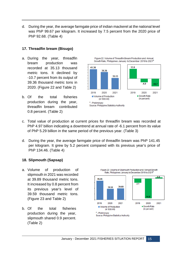d. During the year, the average farmgate price of indian mackerel at the national level was PhP 99.67 per kilogram. It increased by 7.5 percent from the 2020 price of PhP 92.68. (Table 4)

#### <span id="page-19-0"></span>**17. Threadfin bream (Bisugo)**

- a. During the year, threadfin bream production was recorded at 35.13 thousand metric tons. It declined by -10.7 percent from its output of 39.36 thousand metric tons in 2020. (Figure 22 and Table 2)
- b. Of the total fisheries production during the year, threadfin bream contributed 0.8 percent. (Table 2)



Figure 22. Volume of Threadfin Bream Production and Annual

- c. Total value of production at current prices for threadfin bream was recorded at PhP 4.97 billion indicating a downtrend at annual rate of -6.1 percent from its value of PhP 5.29 billion in the same period of the previous year. (Table 3)
- d. During the year, the average farmgate price of threadfin bream was PhP 141.45 per kilogram. It grew by 5.2 percent compared with its previous year's price of PhP 134.46. (Table 4)

#### <span id="page-19-1"></span>**18. Slipmouth (Sapsap)**

- a. Volume of production of slipmouth in 2021 was recorded at 39.89 thousand metric tons. It increased by 0.8 percent from its previous year's level of 39.59 thousand metric tons. (Figure 23 and Table 2)
- b. Of the total fisheries production during the year, slipmouth shared 0.9 percent. (Table 2)

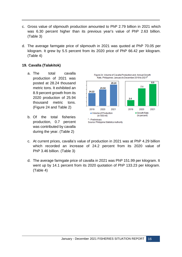- c. Gross value of slipmouth production amounted to PhP 2.79 billion in 2021 which was 6.30 percent higher than its previous year's value of PhP 2.63 billion. (Table 3)
- d. The average farmgate price of slipmouth in 2021 was quoted at PhP 70.05 per kilogram. It grew by 5.5 percent from its 2020 price of PhP 66.42 per kilogram. (Table 4)

#### <span id="page-20-0"></span>**19. Cavalla (Talakitok)**

- a. The total cavalla production of 2021 was posted at 28.24 thousand metric tons. It exhibited an 8.9 percent growth from its 2020 production of 25.94 thousand metric tons. (Figure 24 and Table 2)
- b. Of the total fisheries production, 0.7 percent was contributed by cavalla during the year. (Table 2)



- c. At current prices, cavalla's value of production in 2021 was at PhP 4.29 billion which recorded an increase of 24.2 percent from its 2020 value of PhP 3.46 billion. (Table 3)
- d. The average farmgate price of cavalla in 2021 was PhP 151.99 per kilogram. It went up by 14.1 percent from its 2020 quotation of PhP 133.23 per kilogram. (Table 4)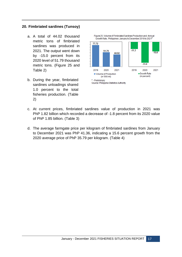#### <span id="page-21-0"></span>**20. Fimbriated sardines (Tunsoy)**

- a. A total of 44.02 thousand metric tons of fimbriated sardines was produced in 2021. The output went down by -15.0 percent from its 2020 level of 51.79 thousand metric tons. (Figure 25 and Table 2)
- b. During the year, fimbriated sardines unloadings shared 1.0 percent to the total fisheries production. (Table 2)



- c. At current prices, fimbriated sardines value of production in 2021 was PhP 1.82 billion which recorded a decrease of -1.8 percent from its 2020 value of PhP 1.85 billion. (Table 3)
- d. The average farmgate price per kilogram of fimbriated sardines from January to December 2021 was PhP 41.36, indicating a 15.6 percent growth from the 2020 average price of PhP 35.79 per kilogram. (Table 4)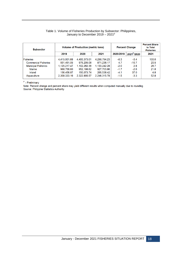#### Table 1. Volume of Fisheries Production by Subsector: Philippines, January to December 2019 - 2021<sup>P</sup>

| <b>Subsector</b>            | <b>Volume of Production (metric tons)</b> | <b>Percent Change</b> | <b>Percent Share</b><br>to Total<br><b>Fisheries</b> |           |                         |       |
|-----------------------------|-------------------------------------------|-----------------------|------------------------------------------------------|-----------|-------------------------|-------|
|                             | 2019                                      | 2020                  | 2021                                                 | 2020/2019 | 2021 <sup>P</sup> /2020 | 2021  |
| Fisheries                   | 4,415,001.68                              | 4,400,373.01          | 4,250,794.23                                         | $-0.3$    | $-3.4$                  | 100.0 |
| <b>Commercial Fisheries</b> | 931.451.05                                | 975.205.08            | 871.236.17                                           | 4.7       | $-10.7$                 | 20.5  |
| <b>Municipal Fisheries</b>  | 1,125,217.47                              | 1,102,262.36          | 1,133,242.28                                         | $-2.0$    | 2.8                     | 26.7  |
| <b>Marine</b>               | 968.758.60                                | 952.188.62            | 927.703.86                                           | $-1.7$    | $-2.6$                  | 21.8  |
| Inland                      | 156.458.87                                | 150.073.74            | 205.538.42                                           | $-4.1$    | 37.0                    | 4.8   |
| Aquaculture                 | 2.358.333.16                              | 2.322.905.57          | 2.246.315.78                                         | $-1.5$    | $-3.3$                  | 52.8  |

 $P$  - Preliminary

Note: Percent change and percent share may yield different results when computed manually due to rounding<br>Source: Philippine Statistics Authority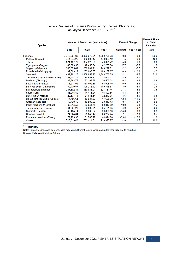| <b>Species</b>                    |              | <b>Volume of Production (metric tons)</b> |              | <b>Percent Change</b> |                         | <b>Percent Share</b><br>to Total<br><b>Fisheries</b> |
|-----------------------------------|--------------|-------------------------------------------|--------------|-----------------------|-------------------------|------------------------------------------------------|
|                                   | 2019         | 2020                                      | $2021^P$     | 2020/2019             | 2021 <sup>P</sup> /2020 | 2021                                                 |
| <b>Fisheries</b>                  | 4.415.001.68 | 4.400.373.01                              | 4.250.794.23 | $-0.3$                | $-3.4$                  | 100.0                                                |
| Milkfish (Bangus)                 | 414.944.25   | 420.960.47                                | 446,382.19   | 1.5                   | 6.0                     | 10.5                                                 |
| Tilapia                           | 321,187.79   | 304,326.59                                | 340,071.42   | $-5.3$                | 11.8                    | 8.0                                                  |
| Tiger prawn (Sugpo)               | 46.003.98    | 42.453.94                                 | 42.255.64    | -7.7                  | $-0.5$                  | 1.0                                                  |
| Skipjack (Gulyasan)               | 266,375.69   | 260.604.21                                | 243.279.01   | $-2.2$                | $-6.7$                  | 5.7                                                  |
| Roundscad (Galunggong)            | 189,003.22   | 202.003.85                                | 180,137.67   | 6.9                   | $-10.8$                 | 4.2                                                  |
| Seaweed                           | 1,499,961.25 | 1,468,653.26                              | 1,343,706.55 | $-2.1$                | $-8.5$                  | 31.6                                                 |
| Yellowfin tuna (Tambakol/Bariles) | 99.351.27    | 94.889.20                                 | 74,056.57    | $-4.5$                | $-22.0$                 | 1.7                                                  |
| Mudcrab (Alimango)                | 22,283.75    | 22.192.69                                 | 26,503.08    | $-0.4$                | 19.4                    | 0.6                                                  |
| Frigate tuna (Tulingan)           | 111,511.06   | 110,465.86                                | 94.508.45    | $-0.9$                | $-14.5$                 | 2.2                                                  |
| Big-eyed scad (Matangbaka)        | 109,439.57   | 105.218.42                                | 109.348.51   | $-3.9$                | 3.9                     | 2.6                                                  |
| Bali sardinella (Tamban)          | 247.502.84   | 339,881.01                                | 321.781.46   | 37.3                  | $-5.3$                  | 7.6                                                  |
| Squid (Pusit)                     | 46.945.50    | 44.415.24                                 | 46,509.56    | $-5.4$                | 4.7                     | 1.1                                                  |
| Blue crab (Alimasag)              | 29,677.14    | 31,046.64                                 | 32,243.05    | 4.6                   | 3.9                     | 0.8                                                  |
| Bigeye tuna (Tambakol/Bariles)    | 17,756.61    | 19,934.37                                 | 17,625.29    | 12.3                  | $-11.6$                 | 0.4                                                  |
| Grouper (Lapu-lapu)               | 19.730.75    | 19.592.80                                 | 20.313.43    | $-0.7$                | 3.7                     | 0.5                                                  |
| Indian mackerel (Alumahan)        | 60.214.50    | 53.644.74                                 | 50,816.99    | $-10.9$               | $-5.3$                  | 1.2                                                  |
| Threadfin bream (Bisugo)          | 41,381.23    | 39.360.01                                 | 35,131.95    | $-4.9$                | $-10.7$                 | 0.8                                                  |
| Slipmouth (Sapsap)                | 46.464.14    | 39.586.52                                 | 39.886.10    | $-14.8$               | 0.8                     | 0.9                                                  |
| Cavalla (Talakitok)               | 24.224.34    | 25.942.47                                 | 28.237.24    | 7.1                   | 8.9                     | 0.7                                                  |
| Fimbriated sardines (Tunsoy)      | 77,723,36    | 51,786.22                                 | 44,024.80    | $-33.4$               | $-15.0$                 | 1.0                                                  |
| <b>Others</b>                     | 723,319.43   | 703.414.51                                | 713,975.27   | $-2.8$                | 1.5                     | 16.8                                                 |

#### Table 2. Volume of Fisheries Production by Species: Philippines, January to December 2019 – 2021<sup>P</sup>

P - Preliminary

Note: Percent change and percent share may yield different results when computed manually due to rounding

Source: Philippine Statistics Authority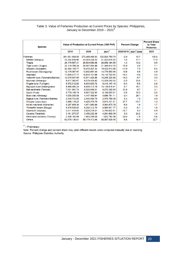#### Table 3. Value of Fisheries Production at Current Prices by Species: Philippines, January to December 2019 – 2021<sup>P</sup>

| <b>Species</b>                    | Value of Production at Current Prices ('000 PhP) | <b>Percent Change</b> |                | <b>Percent Share</b><br>to Total<br><b>Fisheries</b> |                         |       |
|-----------------------------------|--------------------------------------------------|-----------------------|----------------|------------------------------------------------------|-------------------------|-------|
|                                   | 2019                                             | 2020                  | $2021^P$       | 2020/2019                                            | 2021 <sup>P</sup> /2020 | 2021  |
| Fisheries                         | 281,651,654.59                                   | 273,488,458.53        | 302,829,759.70 | $-2.9$                                               | 10.7                    | 100.0 |
| Milkfish (Bangus)                 | 43.352.849.90                                    | 44.004.208.33         | 51,522,616.54  | 1.5                                                  | 17.1                    | 17.0  |
| <b>Tilapia</b>                    | 25,179,587.31                                    | 25,504,586.98         | 28,858,184.55  | 1.3                                                  | 13.2                    | 9.5   |
| Tiger prawn (Sugpo)               | 23,118,769.34                                    | 20,597,564.86         | 21,394,814.75  | $-10.9$                                              | 3.9                     | 7.1   |
| Skipjack (Gulyasan)               | 20,454,105.77                                    | 18.015.467.34         | 19,432,510.96  | $-11.9$                                              | 7.9                     | 6.4   |
| Roundscad (Galunggong)            | 12,179,367.97                                    | 13,832,897.40         | 14,779,550,90  | 13.6                                                 | 6.8                     | 4.9   |
| Seaweed                           | 11.845.017.17                                    | 10.614.121.68         | 10.140.723.54  | $-10.4$                                              | $-4.5$                  | 3.3   |
| Yellowfin tuna (Tambakol/Bariles) | 12.678.657.85                                    | 10.871.425.86         | 10.255.329.45  | $-14.3$                                              | $-5.7$                  | 3.4   |
| Mudcrab (Alimango)                | 9.617.362.67                                     | 9.379.428.82          | 12,529,240.52  | $-2.5$                                               | 33.6                    | 4.1   |
| Frigate tuna (Tulingan)           | 8.972.012.66                                     | 8.933.800.72          | 8.416.147.16   | $-0.4$                                               | $-5.8$                  | 2.8   |
| Big-eyed scad (Matangbaka)        | 8.866.480.24                                     | 8.806.313.76          | 10,138,616.91  | $-0.7$                                               | 15.1                    | 3.3   |
| Bali sardinella (Tamban)          | 7,001,991.74                                     | 8.529.998.01          | 9.270.368.95   | 21.8                                                 | 8.7                     | 3.1   |
| Squid (Pusit)                     | 5,778,159.74                                     | 5,607,322.93          | 6,168,053.91   | $-3.0$                                               | 10.0                    | 2.0   |
| Blue crab (Alimasag)              | 4,555,005.58                                     | 4,447,468.94          | 5,696,791.11   | $-2.4$                                               | 28.1                    | 1.9   |
| Bigeye tuna (Tambakol/Bariles)    | 2,530,733.06                                     | 2,540,956.75          | 2,579,788.08   | 0.4                                                  | 1.5                     | 0.9   |
| Grouper (Lapu-lapu)               | 3,466,118.23                                     | 4.425.379.79          | 3,819,131.01   | 27.7                                                 | $-13.7$                 | 1.3   |
| Indian mackerel (Alumahan)        | 5.287,909.36                                     | 4.971.980.88          | 5,064,875.78   | $-6.0$                                               | 1.9                     | 1.7   |
| Threadfin bream (Bisugo)          | 5,478,534.83                                     | 5.292.312.70          | 4.969.531.77   | $-3.4$                                               | $-6.1$                  | 1.6   |
| Slipmouth (Sapsap)                | 3,011,418.00                                     | 2.629.279.31          | 2.793.822.91   | $-12.7$                                              | 6.3                     | 0.9   |
| Cavalla (Talakitok)               | 3.161.273.57                                     | 3.456.232.36          | 4.291.869.39   | 9.3                                                  | 24.2                    | 1.4   |
| Fimbriated sardines (Tunsoy)      | 2,438,162.99                                     | 1,853,298.05          | 1,820,782.06   | $-24.0$                                              | $-1.8$                  | 0.6   |
| <b>Others</b>                     | 62.678.136.61                                    | 59.174.413.06         | 68,887,009.45  | $-5.6$                                               | 16.4                    | 22.7  |

P - Preliminary

Note: Percent change and percent share may yield different results when computed manually due to rounding Source: Philippine Statistics Authority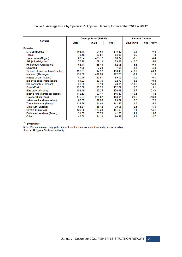#### Table 4. Average Price by Species: Philippines, January to December 2019 – 2021P

|                                   |        | <b>Average Price (PhP/Kg)</b> | <b>Percent Change</b> |           |                         |
|-----------------------------------|--------|-------------------------------|-----------------------|-----------|-------------------------|
| <b>Species</b>                    | 2019   | 2020                          | 2021 <sup>P</sup>     | 2020/2019 | 2021 <sup>P</sup> /2020 |
| Fisheries                         |        |                               |                       |           |                         |
| Milkfish (Bangus)                 | 104.48 | 104.53                        | 115.42                | 0.1       | 10.4                    |
| Tilapia                           | 78.40  | 83.81                         | 84.86                 | 6.9       | 1.3                     |
| Tiger prawn (Sugpo)               | 502.54 | 485.17                        | 506.32                | $-3.5$    | 4.4                     |
| Skipjack (Gulyasan)               | 76.79  | 69.13                         | 79.88                 | $-10.0$   | 15.6                    |
| Roundscad (Galunggong)            | 64.44  | 68.48                         | 82.05                 | 6.3       | 19.8                    |
| Seaweed                           | 7.90   | 7.23                          | 7.55                  | $-8.5$    | 4.4                     |
| Yellowfin tuna (Tambakol/Bariles) | 127.61 | 114.57                        | 138.48                | $-10.2$   | 20.9                    |
| Mudcrab (Alimango)                | 431.59 | 422.64                        | 472.75                | $-2.1$    | 11.9                    |
| Frigate tuna (Tulingan)           | 80.46  | 80.87                         | 89.05                 | 0.5       | 10.1                    |
| Big-eyed scad (Matangbaka)        | 81.02  | 83.70                         | 92.72                 | 3.3       | 10.8                    |
| Bali sardinella (Tamban)          | 28.29  | 25.10                         | 28.81                 | $-11.3$   | 14.8                    |
| Squid (Pusit)                     | 123.08 | 126.25                        | 132.62                | 2.6       | 5.1                     |
| Blue crab (Alimasag)              | 153.49 | 143.25                        | 176.68                | $-6.7$    | 23.3                    |
| Bigeye tuna (Tambakol/ Bariles)   | 142.52 | 127.47                        | 146.37                | $-10.6$   | 14.8                    |
| Grouper (Lapu-lapu)               | 175.67 | 225.87                        | 188.01                | 28.6      | $-16.8$                 |
| Indian mackerel (Alumahan)        | 87.82  | 92.68                         | 99.67                 | 5.5       | 7.5                     |
| Threadfin bream (Bisugo)          | 132.39 | 134.46                        | 141.45                | 1.6       | 5.2                     |
| Slipmouth (Sapsap)                | 64.81  | 66.42                         | 70.05                 | 2.5       | 5.5                     |
| Cavalla (Talakitok)               | 130.50 | 133.23                        | 151.99                | 2.1       | 14.1                    |
| Fimbriated sardines (Tunsoy)      | 31.37  | 35.79                         | 41.36                 | 14.1      | 15.6                    |
| <b>Others</b>                     | 86.65  | 84.12                         | 96.48                 | $-2.9$    | 14.7                    |

 $P$  - Preliminary

Note: Percent change may yield different results when computed manually due to rounding<br>Source: Philippine Statistics Authority